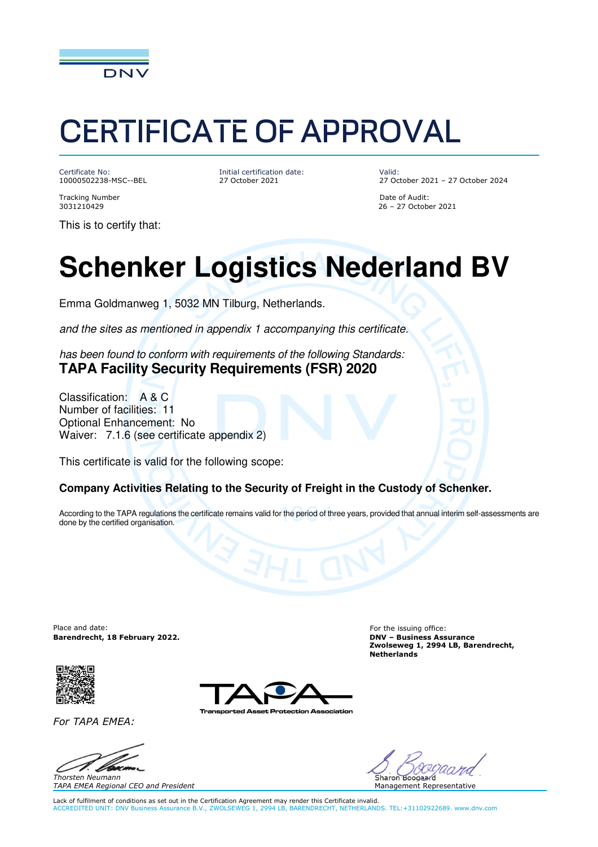

# CERTIFICATE OF APPROVAL

Certificate No: 10000502238-MSC--BEL Initial certification date: 27 October 2021

Valid: 27 October 2021 – 27 October 2024

26 – 27 October 2021

Tracking Number **Date of Audit:**<br>
3031210429 26 - 27 Octobe

This is to certify that:

## **Schenker Logistics Nederland BV**

Emma Goldmanweg 1, 5032 MN Tilburg, Netherlands.

*and the sites as mentioned in appendix 1 accompanying this certificate.* 

*has been found to conform with requirements of the following Standards:* **TAPA Facility Security Requirements (FSR) 2020**

Classification: A & C Number of facilities: 11 Optional Enhancement: No Waiver: 7.1.6 (see certificate appendix 2)

This certificate is valid for the following scope:

#### **Company Activities Relating to the Security of Freight in the Custody of Schenker.**

According to the TAPA regulations the certificate remains valid for the period of three years, provided that annual interim self-assessments are done by the certified organisation.

Place and date: For the issuing office: For the issuing office: **Barendrecht, 18 February 2022. DNV – Business Assurance**



*For TAPA EMEA:*



*TAPA EMEA Regional CEO and President* 

**Transported Asset Protection Association** 

Sharon Boogaard Management Representative

**Zwolseweg 1, 2994 LB, Barendrecht,** 

**Netherlands**

Lack of fulfilment of conditions as set out in the Certification Agreement may render this Certificate invalid. ACCREDITED UNIT: DNV Business Assurance B.V., ZWOLSEWEG 1, 2994 LB, BARENDRECHT, NETHERLANDS. TEL:+31102922689. www.dnv.com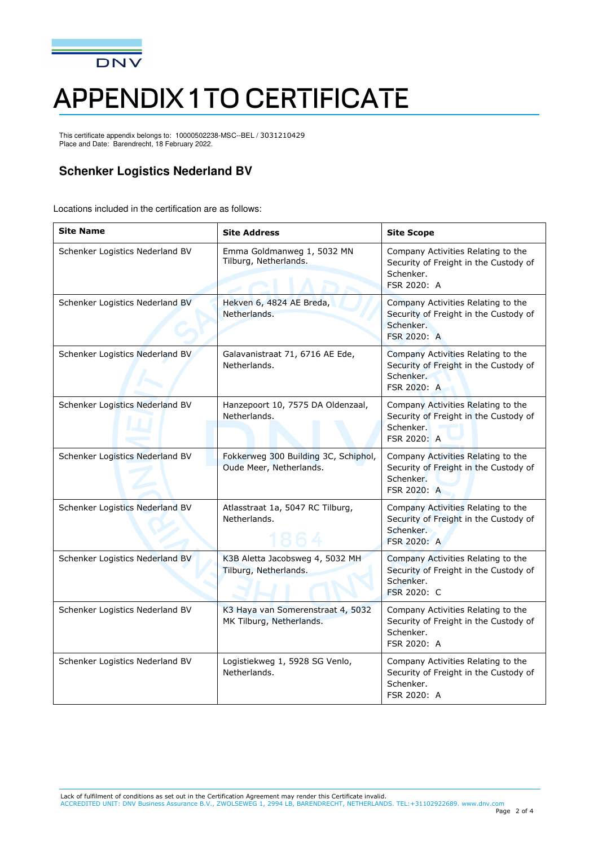

### APPENDIX 1 TO CERTIFICATE

This certificate appendix belongs to: 10000502238-MSC--BEL / 3031210429 Place and Date: Barendrecht, 18 February 2022.

### **Schenker Logistics Nederland BV**

Locations included in the certification are as follows:

| <b>Site Name</b>                | <b>Site Address</b>                                             | <b>Site Scope</b>                                                                                              |
|---------------------------------|-----------------------------------------------------------------|----------------------------------------------------------------------------------------------------------------|
| Schenker Logistics Nederland BV | Emma Goldmanweg 1, 5032 MN<br>Tilburg, Netherlands.             | Company Activities Relating to the<br>Security of Freight in the Custody of<br>Schenker.<br>FSR 2020: A        |
| Schenker Logistics Nederland BV | Hekven 6, 4824 AE Breda,<br>Netherlands.                        | Company Activities Relating to the<br>Security of Freight in the Custody of<br>Schenker.<br>FSR 2020: A        |
| Schenker Logistics Nederland BV | Galavanistraat 71, 6716 AE Ede,<br>Netherlands.                 | Company Activities Relating to the<br>Security of Freight in the Custody of<br>Schenker.<br>FSR 2020: A        |
| Schenker Logistics Nederland BV | Hanzepoort 10, 7575 DA Oldenzaal,<br>Netherlands.               | Company Activities Relating to the<br>Security of Freight in the Custody of<br>Schenker.<br>FSR 2020: A        |
| Schenker Logistics Nederland BV | Fokkerweg 300 Building 3C, Schiphol,<br>Oude Meer, Netherlands. | Company Activities Relating to the<br>Security of Freight in the Custody of<br>Schenker.<br>FSR 2020: A        |
| Schenker Logistics Nederland BV | Atlasstraat 1a, 5047 RC Tilburg,<br>Netherlands.                | Company Activities Relating to the<br>Security of Freight in the Custody of<br>Schenker.<br><b>FSR 2020: A</b> |
| Schenker Logistics Nederland BV | K3B Aletta Jacobsweg 4, 5032 MH<br>Tilburg, Netherlands.        | Company Activities Relating to the<br>Security of Freight in the Custody of<br>Schenker.<br>FSR 2020: C        |
| Schenker Logistics Nederland BV | K3 Haya van Somerenstraat 4, 5032<br>MK Tilburg, Netherlands.   | Company Activities Relating to the<br>Security of Freight in the Custody of<br>Schenker.<br>FSR 2020: A        |
| Schenker Logistics Nederland BV | Logistiekweg 1, 5928 SG Venlo,<br>Netherlands.                  | Company Activities Relating to the<br>Security of Freight in the Custody of<br>Schenker.<br>FSR 2020: A        |

Lack of fulfilment of conditions as set out in the Certification Agreement may render this Certificate invalid. ACCREDITED UNIT: DNV Business Assurance B.V., ZWOLSEWEG 1, 2994 LB, BARENDRECHT, NETHERLANDS. TEL:+31102922689. www.dnv.com Page 2 of 4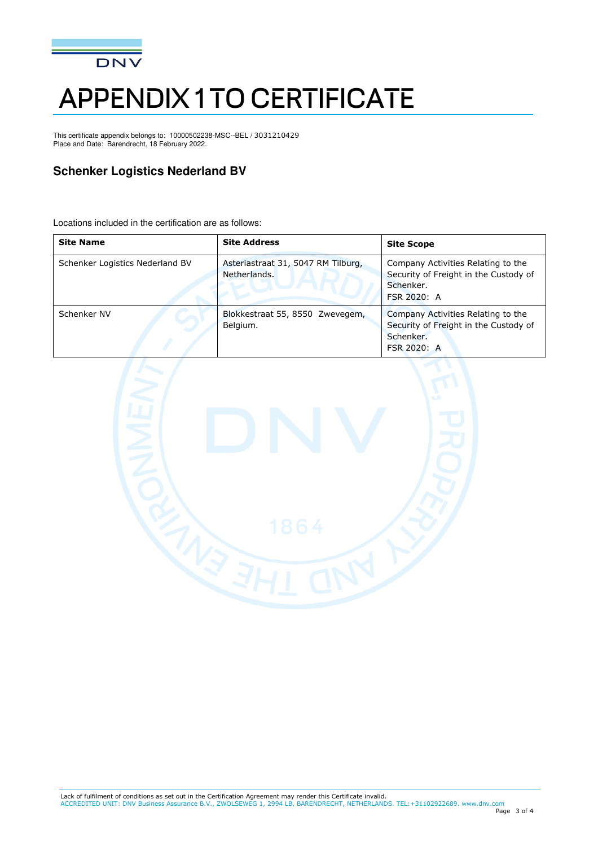

### APPENDIX 1 TO CERTIFICATE

This certificate appendix belongs to: 10000502238-MSC--BEL / 3031210429 Place and Date: Barendrecht, 18 February 2022.

#### **Schenker Logistics Nederland BV**

Locations included in the certification are as follows:

| <b>Site Name</b>                | <b>Site Address</b>                                | <b>Site Scope</b>                                                                                       |
|---------------------------------|----------------------------------------------------|---------------------------------------------------------------------------------------------------------|
| Schenker Logistics Nederland BV | Asteriastraat 31, 5047 RM Tilburg,<br>Netherlands. | Company Activities Relating to the<br>Security of Freight in the Custody of<br>Schenker.<br>FSR 2020: A |
| Schenker NV                     | Blokkestraat 55, 8550 Zwevegem,<br>Belgium.        | Company Activities Relating to the<br>Security of Freight in the Custody of<br>Schenker.<br>FSR 2020: A |